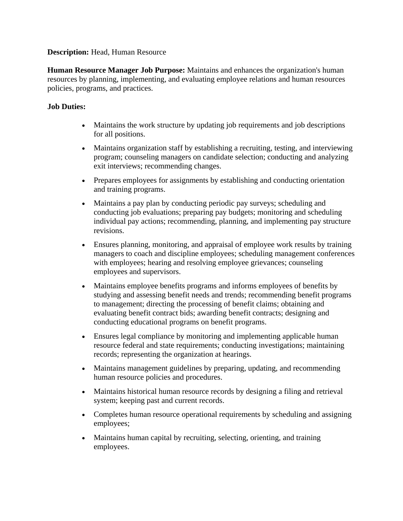## **Description:** Head, Human Resource

**Human Resource Manager Job Purpose:** Maintains and enhances the organization's human resources by planning, implementing, and evaluating employee relations and human resources policies, programs, and practices.

## **Job Duties:**

- Maintains the work structure by updating job requirements and job descriptions for all positions.
- Maintains organization staff by establishing a recruiting, testing, and interviewing program; counseling managers on candidate selection; conducting and analyzing exit interviews; recommending changes.
- Prepares employees for assignments by establishing and conducting orientation and training programs.
- Maintains a pay plan by conducting periodic pay surveys; scheduling and conducting job evaluations; preparing pay budgets; monitoring and scheduling individual pay actions; recommending, planning, and implementing pay structure revisions.
- Ensures planning, monitoring, and appraisal of employee work results by training managers to coach and discipline employees; scheduling management conferences with employees; hearing and resolving employee grievances; counseling employees and supervisors.
- Maintains employee benefits programs and informs employees of benefits by studying and assessing benefit needs and trends; recommending benefit programs to management; directing the processing of benefit claims; obtaining and evaluating benefit contract bids; awarding benefit contracts; designing and conducting educational programs on benefit programs.
- Ensures legal compliance by monitoring and implementing applicable human resource federal and state requirements; conducting investigations; maintaining records; representing the organization at hearings.
- Maintains management guidelines by preparing, updating, and recommending human resource policies and procedures.
- Maintains historical human resource records by designing a filing and retrieval system; keeping past and current records.
- Completes human resource operational requirements by scheduling and assigning employees;
- Maintains human capital by recruiting, selecting, orienting, and training employees.